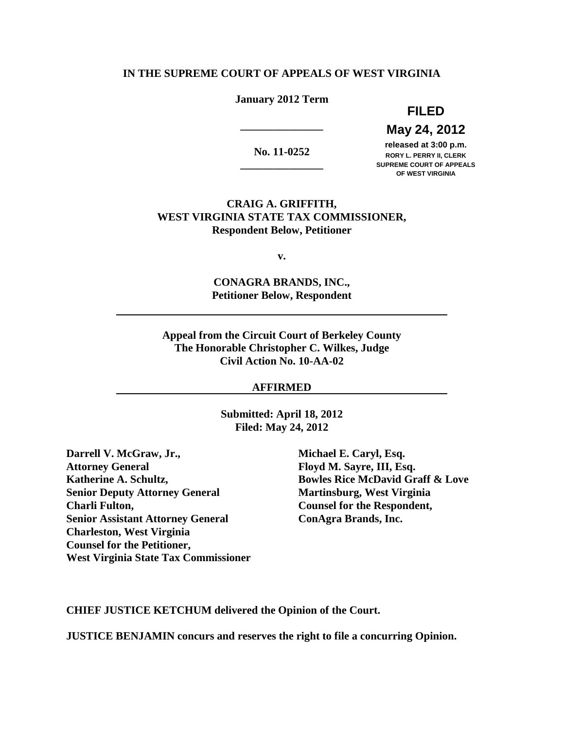## **IN THE SUPREME COURT OF APPEALS OF WEST VIRGINIA**

# **January 2012 Term**

# **May 24, 2012 FILED**

**\_\_\_\_\_\_\_\_\_\_\_\_\_\_\_** 

released at 3:00 p.m. **11-0252 released at 3:00 p.m.**<br>RORY L. PERRY II, CLERK **RORY L. PERRY II, CLERK \_\_\_\_\_\_\_\_\_\_\_\_\_\_\_ SUPREME COURT OF APPEALS OF WEST VIRGINIA** 

# **CRAIG A. GRIFFITH, WEST VIRGINIA STATE TAX COMMISSIONER, Respondent Below, Petitioner**

**v.** 

 **CONAGRA BRANDS, INC., Petitioner Below, Respondent** 

 **Appeal from the Circuit Court of Berkeley County The Honorable Christopher C. Wilkes, Judge Civil Action No. 10-AA-02** 

## **AFFIRMED**

 **Submitted: April 18, 2012 Filed: May 24, 2012** 

**Darrell V. McGraw, Jr., Michael E. Caryl, Esq. Attorney General Katherine A. Schultz, Senior Deputy Attorney General Martinsburg, West Virginia Charli Fulton. Senior Assistant Attorney General ConAgra Brands, Inc. Charleston, West Virginia Counsel for the Petitioner, West Virginia State Tax Commissioner** 

Floyd M. Sayre, III, Esq. **Bowles Rice McDavid Graff & Love** Counsel for the Respondent,

 **CHIEF JUSTICE KETCHUM delivered the Opinion of the Court.** 

 **JUSTICE BENJAMIN concurs and reserves the right to file a concurring Opinion.**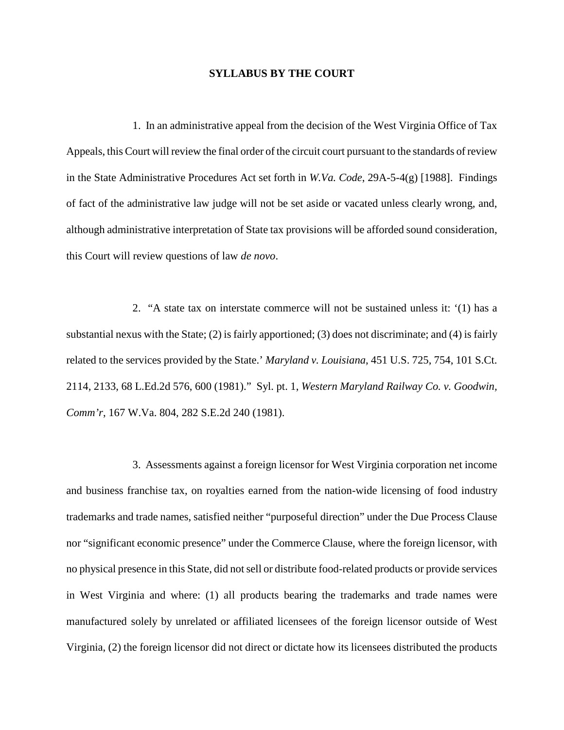### **SYLLABUS BY THE COURT**

 1. In an administrative appeal from the decision of the West Virginia Office of Tax Appeals, this Court will review the final order of the circuit court pursuant to the standards of review in the State Administrative Procedures Act set forth in *W.Va. Code*, 29A-5-4(g) [1988]. Findings of fact of the administrative law judge will not be set aside or vacated unless clearly wrong, and, although administrative interpretation of State tax provisions will be afforded sound consideration, this Court will review questions of law *de novo*.

 2. "A state tax on interstate commerce will not be sustained unless it: '(1) has a substantial nexus with the State; (2) is fairly apportioned; (3) does not discriminate; and (4) is fairly related to the services provided by the State.' *Maryland v. Louisiana*, 451 U.S. 725, 754, 101 S.Ct. 2114, 2133, 68 L.Ed.2d 576, 600 (1981)." Syl. pt. 1, *Western Maryland Railway Co. v. Goodwin, Comm'r*, 167 W.Va. 804, 282 S.E.2d 240 (1981).

 3. Assessments against a foreign licensor for West Virginia corporation net income and business franchise tax, on royalties earned from the nation-wide licensing of food industry trademarks and trade names, satisfied neither "purposeful direction" under the Due Process Clause nor "significant economic presence" under the Commerce Clause, where the foreign licensor, with no physical presence in this State, did not sell or distribute food-related products or provide services in West Virginia and where: (1) all products bearing the trademarks and trade names were manufactured solely by unrelated or affiliated licensees of the foreign licensor outside of West Virginia, (2) the foreign licensor did not direct or dictate how its licensees distributed the products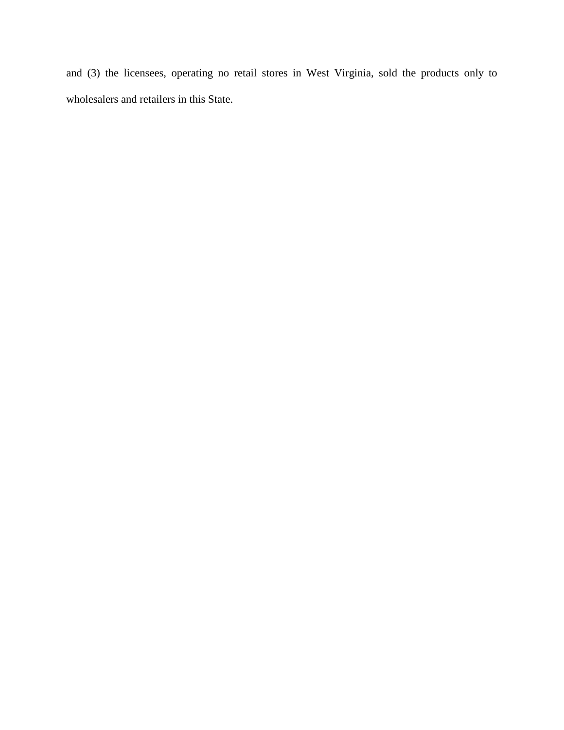and (3) the licensees, operating no retail stores in West Virginia, sold the products only to wholesalers and retailers in this State.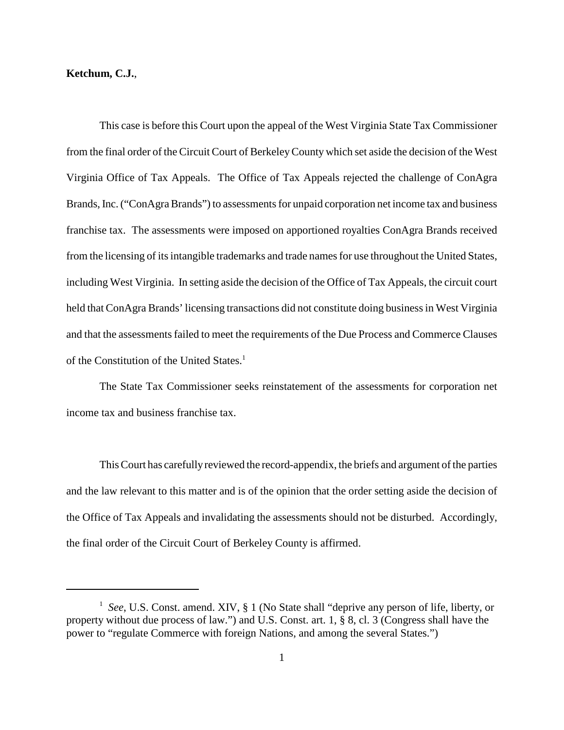## **Ketchum, C.J.**,

 This case is before this Court upon the appeal of the West Virginia State Tax Commissioner from the final order of the Circuit Court of Berkeley County which set aside the decision of the West Virginia Office of Tax Appeals. The Office of Tax Appeals rejected the challenge of ConAgra Brands, Inc. ("ConAgra Brands") to assessments for unpaid corporation net income tax and business franchise tax. The assessments were imposed on apportioned royalties ConAgra Brands received from the licensing of its intangible trademarks and trade names for use throughout the United States, including West Virginia. In setting aside the decision of the Office of Tax Appeals, the circuit court held that ConAgra Brands' licensing transactions did not constitute doing business in West Virginia and that the assessments failed to meet the requirements of the Due Process and Commerce Clauses of the Constitution of the United States.<sup>1</sup>

 The State Tax Commissioner seeks reinstatement of the assessments for corporation net income tax and business franchise tax.

This Court has carefully reviewed the record-appendix, the briefs and argument of the parties and the law relevant to this matter and is of the opinion that the order setting aside the decision of the Office of Tax Appeals and invalidating the assessments should not be disturbed. Accordingly, the final order of the Circuit Court of Berkeley County is affirmed.

<sup>&</sup>lt;sup>1</sup> See, U.S. Const. amend. XIV, § 1 (No State shall "deprive any person of life, liberty, or property without due process of law.") and U.S. Const. art. 1, § 8, cl. 3 (Congress shall have the power to "regulate Commerce with foreign Nations, and among the several States.")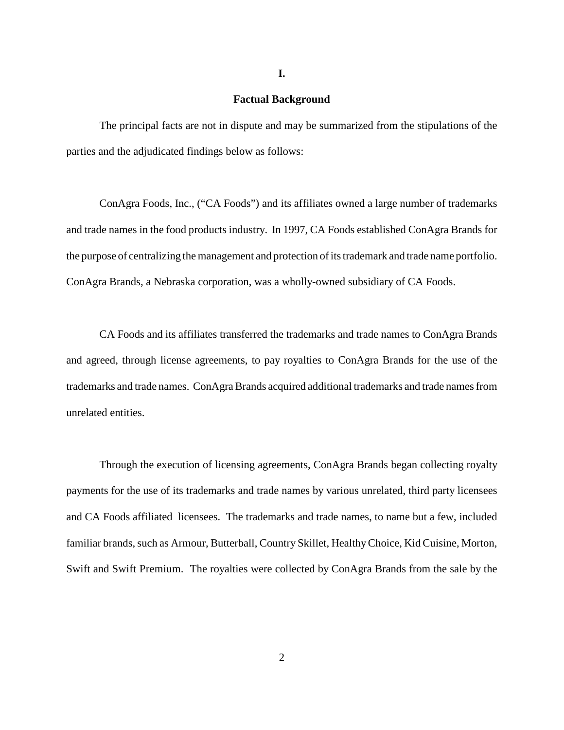#### **Factual Background**

 The principal facts are not in dispute and may be summarized from the stipulations of the parties and the adjudicated findings below as follows:

 ConAgra Foods, Inc., ("CA Foods") and its affiliates owned a large number of trademarks and trade names in the food products industry. In 1997, CA Foods established ConAgra Brands for the purpose of centralizing the management and protection of its trademark and trade name portfolio. ConAgra Brands, a Nebraska corporation, was a wholly-owned subsidiary of CA Foods.

 CA Foods and its affiliates transferred the trademarks and trade names to ConAgra Brands and agreed, through license agreements, to pay royalties to ConAgra Brands for the use of the trademarks and trade names. ConAgra Brands acquired additional trademarks and trade names from unrelated entities.

 Through the execution of licensing agreements, ConAgra Brands began collecting royalty payments for the use of its trademarks and trade names by various unrelated, third party licensees and CA Foods affiliated licensees. The trademarks and trade names, to name but a few, included familiar brands, such as Armour, Butterball, Country Skillet, Healthy Choice, Kid Cuisine, Morton, Swift and Swift Premium. The royalties were collected by ConAgra Brands from the sale by the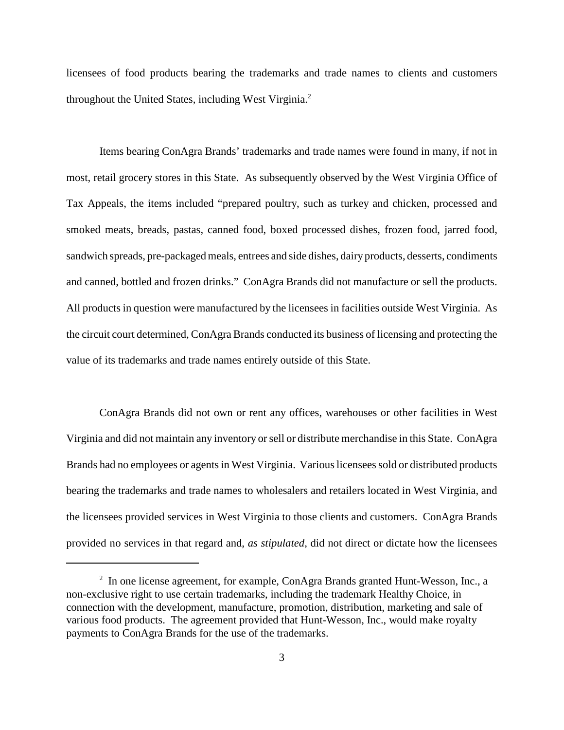licensees of food products bearing the trademarks and trade names to clients and customers throughout the United States, including West Virginia.<sup>2</sup>

 Items bearing ConAgra Brands' trademarks and trade names were found in many, if not in most, retail grocery stores in this State. As subsequently observed by the West Virginia Office of Tax Appeals, the items included "prepared poultry, such as turkey and chicken, processed and smoked meats, breads, pastas, canned food, boxed processed dishes, frozen food, jarred food, sandwich spreads, pre-packaged meals, entrees and side dishes, dairy products, desserts, condiments and canned, bottled and frozen drinks." ConAgra Brands did not manufacture or sell the products. All products in question were manufactured by the licensees in facilities outside West Virginia. As the circuit court determined, ConAgra Brands conducted its business of licensing and protecting the value of its trademarks and trade names entirely outside of this State.

 ConAgra Brands did not own or rent any offices, warehouses or other facilities in West Virginia and did not maintain any inventory or sell or distribute merchandise in this State. ConAgra Brands had no employees or agents in West Virginia. Various licensees sold or distributed products bearing the trademarks and trade names to wholesalers and retailers located in West Virginia, and the licensees provided services in West Virginia to those clients and customers. ConAgra Brands provided no services in that regard and, *as stipulated*, did not direct or dictate how the licensees

 $2\;\;$  In one license agreement, for example, ConAgra Brands granted Hunt-Wesson, Inc., a non-exclusive right to use certain trademarks, including the trademark Healthy Choice, in connection with the development, manufacture, promotion, distribution, marketing and sale of various food products. The agreement provided that Hunt-Wesson, Inc., would make royalty payments to ConAgra Brands for the use of the trademarks.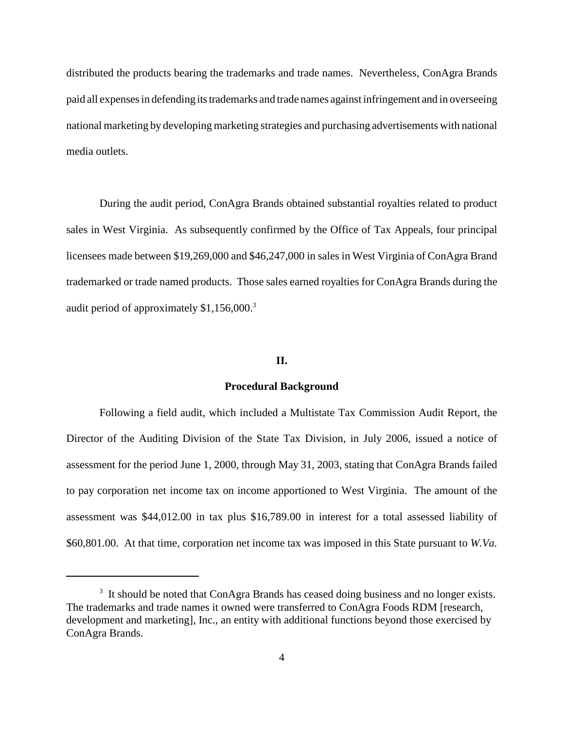distributed the products bearing the trademarks and trade names. Nevertheless, ConAgra Brands paid all expenses in defending its trademarks and trade names against infringement and in overseeing national marketing by developing marketing strategies and purchasing advertisements with national media outlets.

 During the audit period, ConAgra Brands obtained substantial royalties related to product sales in West Virginia. As subsequently confirmed by the Office of Tax Appeals, four principal licensees made between \$19,269,000 and \$46,247,000 in sales in West Virginia of ConAgra Brand trademarked or trade named products. Those sales earned royalties for ConAgra Brands during the audit period of approximately \$1,156,000.<sup>3</sup>

## **II.**

### **Procedural Background**

 Following a field audit, which included a Multistate Tax Commission Audit Report, the Director of the Auditing Division of the State Tax Division, in July 2006, issued a notice of assessment for the period June 1, 2000, through May 31, 2003, stating that ConAgra Brands failed to pay corporation net income tax on income apportioned to West Virginia. The amount of the assessment was \$44,012.00 in tax plus \$16,789.00 in interest for a total assessed liability of \$60,801.00. At that time, corporation net income tax was imposed in this State pursuant to *W.Va.* 

 $3$  It should be noted that ConAgra Brands has ceased doing business and no longer exists. The trademarks and trade names it owned were transferred to ConAgra Foods RDM [research, development and marketing], Inc., an entity with additional functions beyond those exercised by ConAgra Brands.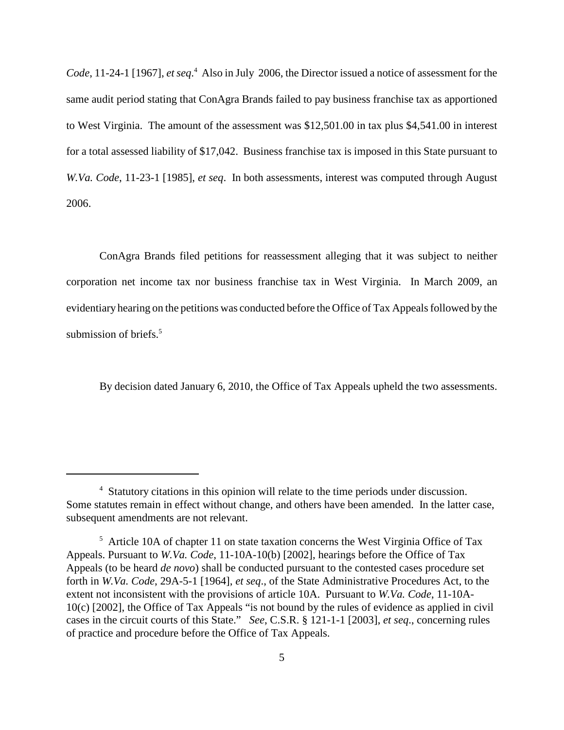*Code*, 11-24-1 [1967], *et seq*. 4 Also in July 2006, the Director issued a notice of assessment for the same audit period stating that ConAgra Brands failed to pay business franchise tax as apportioned to West Virginia. The amount of the assessment was \$12,501.00 in tax plus \$4,541.00 in interest for a total assessed liability of \$17,042. Business franchise tax is imposed in this State pursuant to *W.Va. Code*, 11-23-1 [1985], *et seq*. In both assessments, interest was computed through August 2006.

 ConAgra Brands filed petitions for reassessment alleging that it was subject to neither corporation net income tax nor business franchise tax in West Virginia. In March 2009, an evidentiary hearing on the petitions was conducted before the Office of Tax Appeals followed by the submission of briefs.<sup>5</sup>

By decision dated January 6, 2010, the Office of Tax Appeals upheld the two assessments.

<sup>&</sup>lt;sup>4</sup> Statutory citations in this opinion will relate to the time periods under discussion. Some statutes remain in effect without change, and others have been amended. In the latter case, subsequent amendments are not relevant.

 $5$  Article 10A of chapter 11 on state taxation concerns the West Virginia Office of Tax Appeals. Pursuant to *W.Va. Code*, 11-10A-10(b) [2002], hearings before the Office of Tax Appeals (to be heard *de novo*) shall be conducted pursuant to the contested cases procedure set forth in *W.Va. Code*, 29A-5-1 [1964], *et seq*., of the State Administrative Procedures Act, to the extent not inconsistent with the provisions of article 10A. Pursuant to *W.Va. Code*, 11-10A- 10(c) [2002], the Office of Tax Appeals "is not bound by the rules of evidence as applied in civil cases in the circuit courts of this State." *See*, C.S.R. § 121-1-1 [2003], *et seq*., concerning rules of practice and procedure before the Office of Tax Appeals.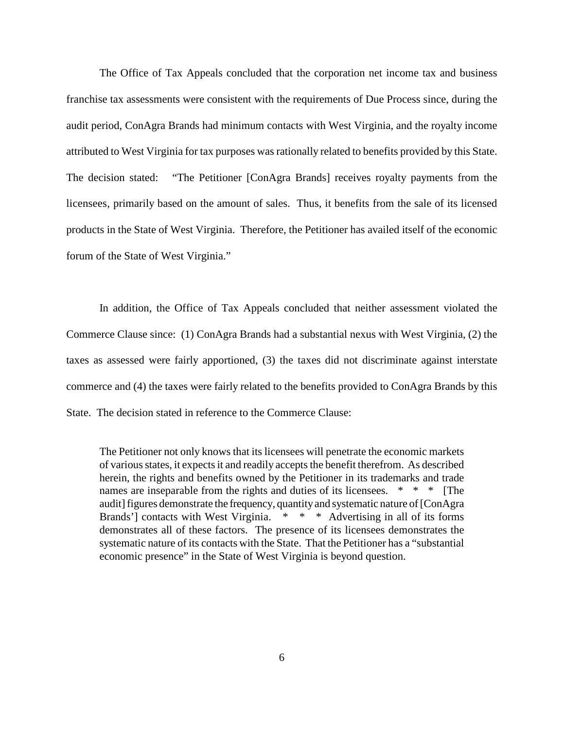The Office of Tax Appeals concluded that the corporation net income tax and business franchise tax assessments were consistent with the requirements of Due Process since, during the audit period, ConAgra Brands had minimum contacts with West Virginia, and the royalty income attributed to West Virginia for tax purposes was rationally related to benefits provided by this State. The decision stated: licensees, primarily based on the amount of sales. Thus, it benefits from the sale of its licensed products in the State of West Virginia. Therefore, the Petitioner has availed itself of the economic forum of the State of West Virginia." "The Petitioner [ConAgra Brands] receives royalty payments from the

 In addition, the Office of Tax Appeals concluded that neither assessment violated the Commerce Clause since: (1) ConAgra Brands had a substantial nexus with West Virginia, (2) the taxes as assessed were fairly apportioned, (3) the taxes did not discriminate against interstate commerce and (4) the taxes were fairly related to the benefits provided to ConAgra Brands by this State. The decision stated in reference to the Commerce Clause:

 The Petitioner not only knows that its licensees will penetrate the economic markets of various states, it expects it and readily accepts the benefit therefrom. As described herein, the rights and benefits owned by the Petitioner in its trademarks and trade names are inseparable from the rights and duties of its licensees. \* \* \* [The audit] figures demonstrate the frequency, quantityand systematic nature of [ConAgra Brands'] contacts with West Virginia. \* \* \* Advertising in all of its forms demonstrates all of these factors. The presence of its licensees demonstrates the systematic nature of its contacts with the State. That the Petitioner has a "substantial economic presence" in the State of West Virginia is beyond question.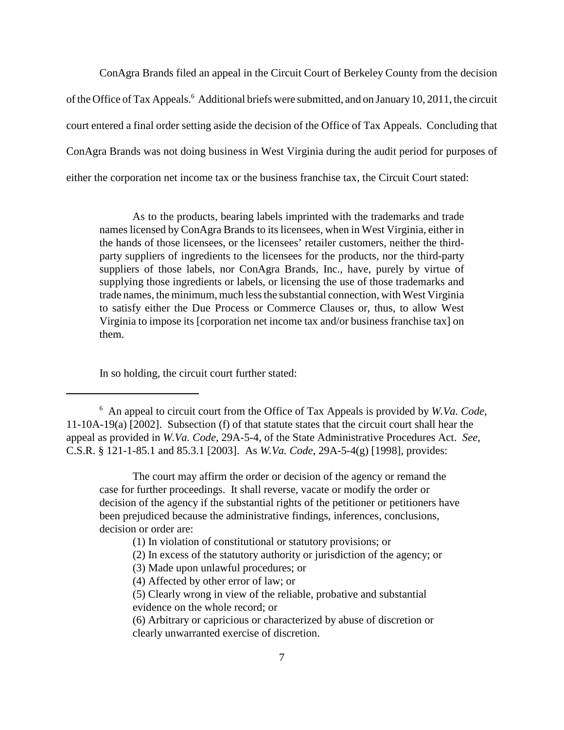ConAgra Brands filed an appeal in the Circuit Court of Berkeley County from the decision of the Office of Tax Appeals.<sup>6</sup> Additional briefs were submitted, and on January 10, 2011, the circuit court entered a final order setting aside the decision of the Office of Tax Appeals. Concluding that ConAgra Brands was not doing business in West Virginia during the audit period for purposes of either the corporation net income tax or the business franchise tax, the Circuit Court stated:

 As to the products, bearing labels imprinted with the trademarks and trade names licensed by ConAgra Brands to its licensees, when in West Virginia, either in the hands of those licensees, or the licensees' retailer customers, neither the third- party suppliers of ingredients to the licensees for the products, nor the third-party suppliers of those labels, nor ConAgra Brands, Inc., have, purely by virtue of supplying those ingredients or labels, or licensing the use of those trademarks and trade names, the minimum, much less the substantial connection, with West Virginia to satisfy either the Due Process or Commerce Clauses or, thus, to allow West Virginia to impose its [corporation net income tax and/or business franchise tax] on them. them.<br>In so holding, the circuit court further stated:

 The court may affirm the order or decision of the agency or remand the case for further proceedings. It shall reverse, vacate or modify the order or decision of the agency if the substantial rights of the petitioner or petitioners have been prejudiced because the administrative findings, inferences, conclusions, decision or order are:

- (1) In violation of constitutional or statutory provisions; or
- (2) In excess of the statutory authority or jurisdiction of the agency; or
- (3) Made upon unlawful procedures; or
- (4) Affected by other error of law; or
- (5) Clearly wrong in view of the reliable, probative and substantial
- evidence on the whole record; or
- (6) Arbitrary or capricious or characterized by abuse of discretion or clearly unwarranted exercise of discretion.

 6 An appeal to circuit court from the Office of Tax Appeals is provided by *W.Va. Code*, 11-10A-19(a) [2002]. Subsection (f) of that statute states that the circuit court shall hear the appeal as provided in *W.Va. Code*, 29A-5-4, of the State Administrative Procedures Act. *See*, C.S.R. § 121-1-85.1 and 85.3.1 [2003]. As *W.Va. Code*, 29A-5-4(g) [1998], provides: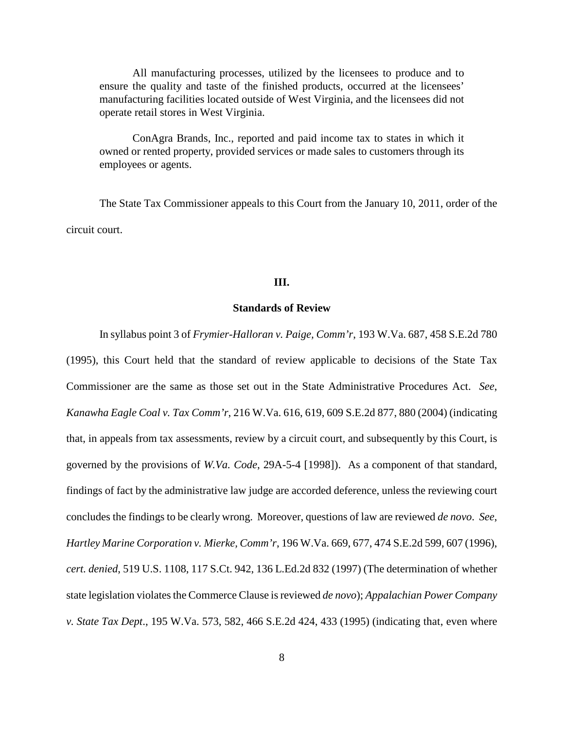All manufacturing processes, utilized by the licensees to produce and to ensure the quality and taste of the finished products, occurred at the licensees' manufacturing facilities located outside of West Virginia, and the licensees did not operate retail stores in West Virginia.

 ConAgra Brands, Inc., reported and paid income tax to states in which it owned or rented property, provided services or made sales to customers through its employees or agents.

 The State Tax Commissioner appeals to this Court from the January 10, 2011, order of the circuit court.

### **III.**

### **Standards of Review**

 In syllabus point 3 of *Frymier-Halloran v. Paige, Comm'r*, 193 W.Va. 687, 458 S.E.2d 780 (1995), this Court held that the standard of review applicable to decisions of the State Tax Commissioner are the same as those set out in the State Administrative Procedures Act. *See*,  *Kanawha Eagle Coal v. Tax Comm'r*, 216 W.Va. 616, 619, 609 S.E.2d 877, 880 (2004) (indicating that, in appeals from tax assessments, review by a circuit court, and subsequently by this Court, is governed by the provisions of *W.Va. Code*, 29A-5-4 [1998]). As a component of that standard, findings of fact by the administrative law judge are accorded deference, unless the reviewing court concludes the findings to be clearly wrong. Moreover, questions of law are reviewed *de novo*. *See*,  *Hartley Marine Corporation v. Mierke, Comm'r*, 196 W.Va. 669, 677, 474 S.E.2d 599, 607 (1996), *cert. denied*, 519 U.S. 1108, 117 S.Ct. 942, 136 L.Ed.2d 832 (1997) (The determination of whether state legislation violates the Commerce Clause is reviewed *de novo*); *Appalachian Power Company v. State Tax Dept*., 195 W.Va. 573, 582, 466 S.E.2d 424, 433 (1995) (indicating that, even where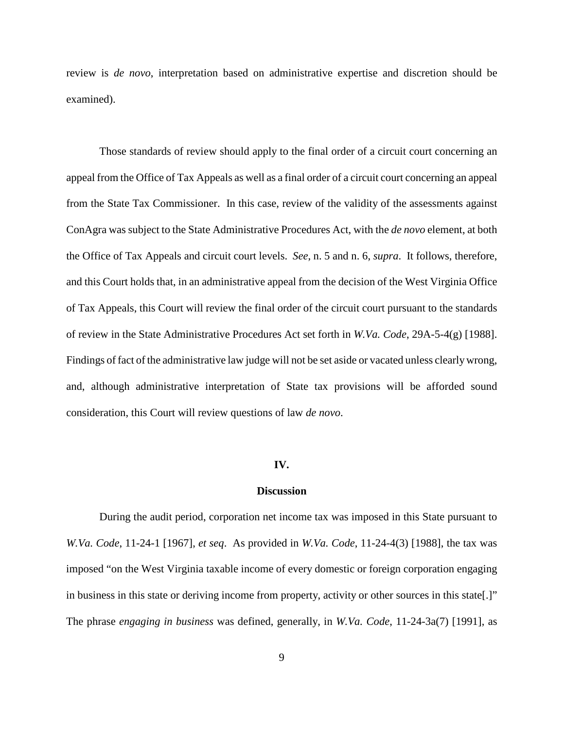review is *de novo*, interpretation based on administrative expertise and discretion should be examined).

 Those standards of review should apply to the final order of a circuit court concerning an appeal from the Office of Tax Appeals as well as a final order of a circuit court concerning an appeal from the State Tax Commissioner. In this case, review of the validity of the assessments against ConAgra was subject to the State Administrative Procedures Act, with the *de novo* element, at both the Office of Tax Appeals and circuit court levels. *See*, n. 5 and n. 6, *supra*. It follows, therefore, and this Court holds that, in an administrative appeal from the decision of the West Virginia Office of Tax Appeals, this Court will review the final order of the circuit court pursuant to the standards of review in the State Administrative Procedures Act set forth in *W.Va. Code*, 29A-5-4(g) [1988]. Findings of fact of the administrative law judge will not be set aside or vacated unless clearly wrong, and, although administrative interpretation of State tax provisions will be afforded sound consideration, this Court will review questions of law *de novo*.

#### **IV.**

#### **Discussion**

 During the audit period, corporation net income tax was imposed in this State pursuant to *W.Va. Code*, 11-24-1 [1967], *et seq*. As provided in *W.Va. Code*, 11-24-4(3) [1988], the tax was imposed "on the West Virginia taxable income of every domestic or foreign corporation engaging in business in this state or deriving income from property, activity or other sources in this state[.]" The phrase *engaging in business* was defined, generally, in *W.Va. Code*, 11-24-3a(7) [1991], as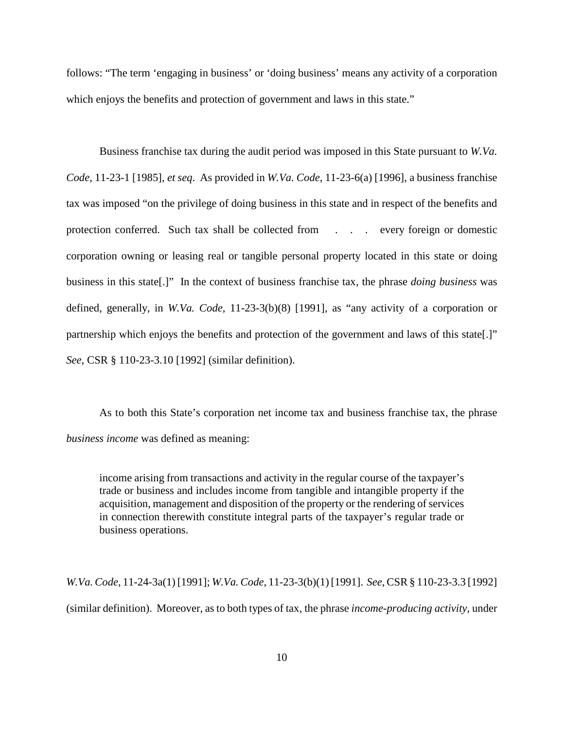follows: "The term 'engaging in business' or 'doing business' means any activity of a corporation which enjoys the benefits and protection of government and laws in this state."

 Business franchise tax during the audit period was imposed in this State pursuant to *W.Va. Code*, 11-23-1 [1985], *et seq*. As provided in *W.Va. Code*, 11-23-6(a) [1996], a business franchise tax was imposed "on the privilege of doing business in this state and in respect of the benefits and protection conferred. Such tax shall be collected from . . . every foreign or domestic corporation owning or leasing real or tangible personal property located in this state or doing business in this state[.]" In the context of business franchise tax, the phrase *doing business* was defined, generally, in *W.Va. Code*, 11-23-3(b)(8) [1991], as "any activity of a corporation or partnership which enjoys the benefits and protection of the government and laws of this state[.]" *See*, CSR § 110-23-3.10 [1992] (similar definition).

 As to both this State's corporation net income tax and business franchise tax, the phrase *business income* was defined as meaning:

 income arising from transactions and activity in the regular course of the taxpayer's trade or business and includes income from tangible and intangible property if the acquisition, management and disposition of the property or the rendering of services in connection therewith constitute integral parts of the taxpayer's regular trade or business operations.

 *W.Va. Code*, 11-24-3a(1) [1991]; *W.Va. Code*, 11-23-3(b)(1) [1991]. *See*, CSR § 110-23-3.3 [1992] (similar definition). Moreover, as to both types of tax, the phrase *income-producing activity*, under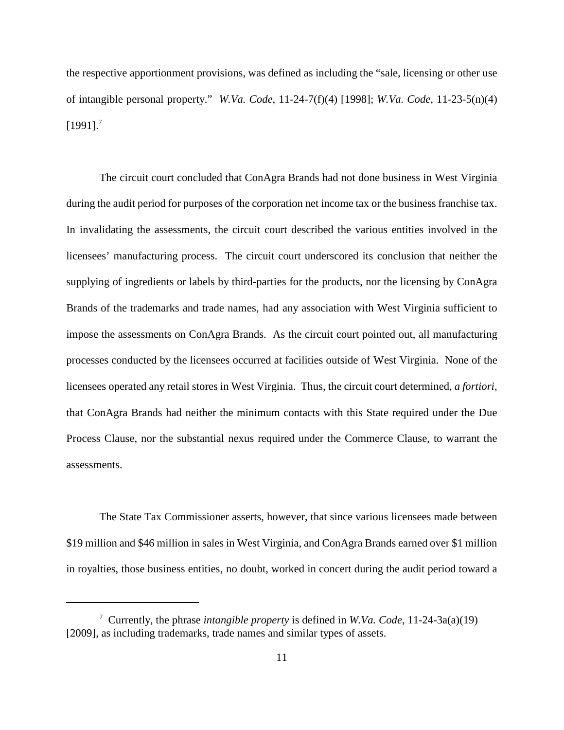the respective apportionment provisions, was defined as including the "sale, licensing or other use of intangible personal property." *W.Va. Code*, 11-24-7(f)(4) [1998]; *W.Va. Code*, 11-23-5(n)(4)  $[1991]$ .<sup>7</sup>

 The circuit court concluded that ConAgra Brands had not done business in West Virginia during the audit period for purposes of the corporation net income tax or the business franchise tax. In invalidating the assessments, the circuit court described the various entities involved in the licensees' manufacturing process. The circuit court underscored its conclusion that neither the supplying of ingredients or labels by third-parties for the products, nor the licensing by ConAgra Brands of the trademarks and trade names, had any association with West Virginia sufficient to impose the assessments on ConAgra Brands. As the circuit court pointed out, all manufacturing processes conducted by the licensees occurred at facilities outside of West Virginia. None of the licensees operated any retail stores in West Virginia. Thus, the circuit court determined, *a fortiori*, that ConAgra Brands had neither the minimum contacts with this State required under the Due Process Clause, nor the substantial nexus required under the Commerce Clause, to warrant the assessments.

 The State Tax Commissioner asserts, however, that since various licensees made between \$19 million and \$46 million in sales in West Virginia, and ConAgra Brands earned over \$1 million in royalties, those business entities, no doubt, worked in concert during the audit period toward a

 7 Currently, the phrase *intangible property* is defined in *W.Va. Code*, 11-24-3a(a)(19) [2009], as including trademarks, trade names and similar types of assets.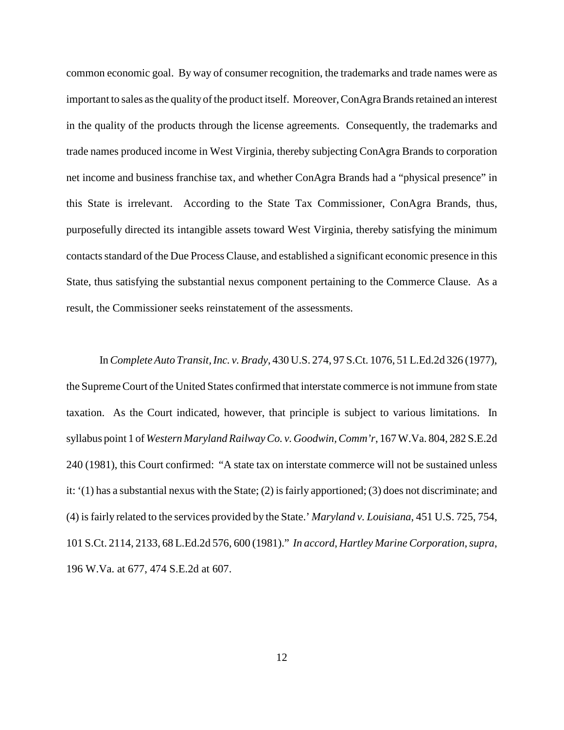common economic goal. By way of consumer recognition, the trademarks and trade names were as important to sales as the quality of the product itself. Moreover, ConAgra Brands retained an interest in the quality of the products through the license agreements. Consequently, the trademarks and trade names produced income in West Virginia, thereby subjecting ConAgra Brands to corporation net income and business franchise tax, and whether ConAgra Brands had a "physical presence" in this State is irrelevant. According to the State Tax Commissioner, ConAgra Brands, thus, purposefully directed its intangible assets toward West Virginia, thereby satisfying the minimum contacts standard of the Due Process Clause, and established a significant economic presence in this State, thus satisfying the substantial nexus component pertaining to the Commerce Clause. As a result, the Commissioner seeks reinstatement of the assessments.

 In *Complete Auto Transit, Inc. v. Brady*, 430 U.S. 274, 97 S.Ct. 1076, 51 L.Ed.2d 326 (1977), the Supreme Court of the United States confirmed that interstate commerce is not immune from state taxation. As the Court indicated, however, that principle is subject to various limitations. In syllabus point 1 of *Western Maryland Railway Co. v. Goodwin, Comm'r*, 167 W.Va. 804, 282 S.E.2d 240 (1981), this Court confirmed: "A state tax on interstate commerce will not be sustained unless it: '(1) has a substantial nexus with the State; (2) is fairly apportioned; (3) does not discriminate; and (4) is fairly related to the services provided by the State.' *Maryland v. Louisiana*, 451 U.S. 725, 754, 101 S.Ct. 2114, 2133, 68 L.Ed.2d 576, 600 (1981)." *In accord*, *Hartley Marine Corporation*, *supra*, 196 W.Va. at 677, 474 S.E.2d at 607.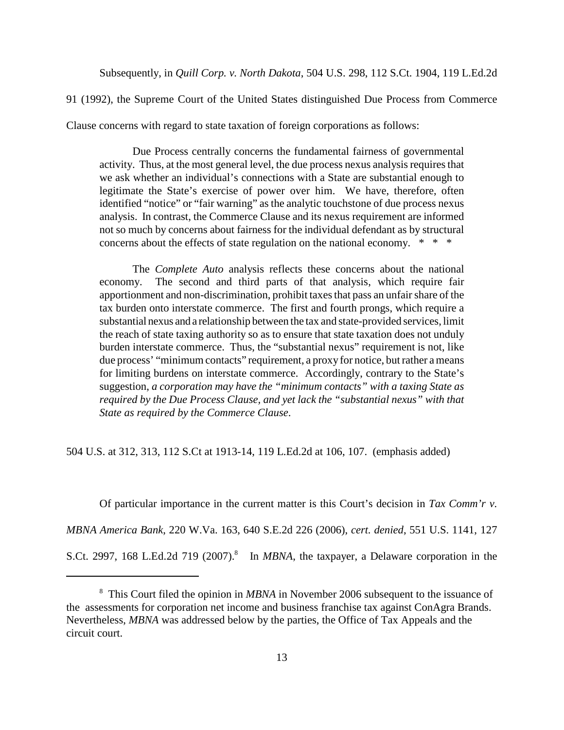Subsequently, in *Quill Corp. v. North Dakota*, 504 U.S. 298, 112 S.Ct. 1904, 119 L.Ed.2d

91 (1992), the Supreme Court of the United States distinguished Due Process from Commerce

Clause concerns with regard to state taxation of foreign corporations as follows:

 Due Process centrally concerns the fundamental fairness of governmental activity. Thus, at the most general level, the due process nexus analysis requires that we ask whether an individual's connections with a State are substantial enough to legitimate the State's exercise of power over him. We have, therefore, often identified "notice" or "fair warning" as the analytic touchstone of due process nexus analysis. In contrast, the Commerce Clause and its nexus requirement are informed not so much by concerns about fairness for the individual defendant as by structural concerns about the effects of state regulation on the national economy. \* \* \*

 The *Complete Auto* analysis reflects these concerns about the national economy. apportionment and non-discrimination, prohibit taxes that pass an unfair share of the tax burden onto interstate commerce. The first and fourth prongs, which require a substantial nexus and a relationship between the tax and state-provided services, limit the reach of state taxing authority so as to ensure that state taxation does not unduly burden interstate commerce. Thus, the "substantial nexus" requirement is not, like due process' "minimum contacts" requirement, a proxy for notice, but rather a means for limiting burdens on interstate commerce. Accordingly, contrary to the State's  suggestion, *a corporation may have the "minimum contacts" with a taxing State as required by the Due Process Clause, and yet lack the "substantial nexus" with that State as required by the Commerce Clause*. The second and third parts of that analysis, which require fair

504 U.S. at 312, 313, 112 S.Ct at 1913-14, 119 L.Ed.2d at 106, 107. (emphasis added)

Of particular importance in the current matter is this Court's decision in *Tax Comm'r v.* 

 *MBNA America Bank*, 220 W.Va. 163, 640 S.E.2d 226 (2006), *cert. denied*, 551 U.S. 1141, 127

S.Ct. 2997, 168 L.Ed.2d 719 (2007).<sup>8</sup> In *MBNA*, the taxpayer, a Delaware corporation in the

 8 This Court filed the opinion in *MBNA* in November 2006 subsequent to the issuance of the assessments for corporation net income and business franchise tax against ConAgra Brands. Nevertheless, *MBNA* was addressed below by the parties, the Office of Tax Appeals and the circuit court.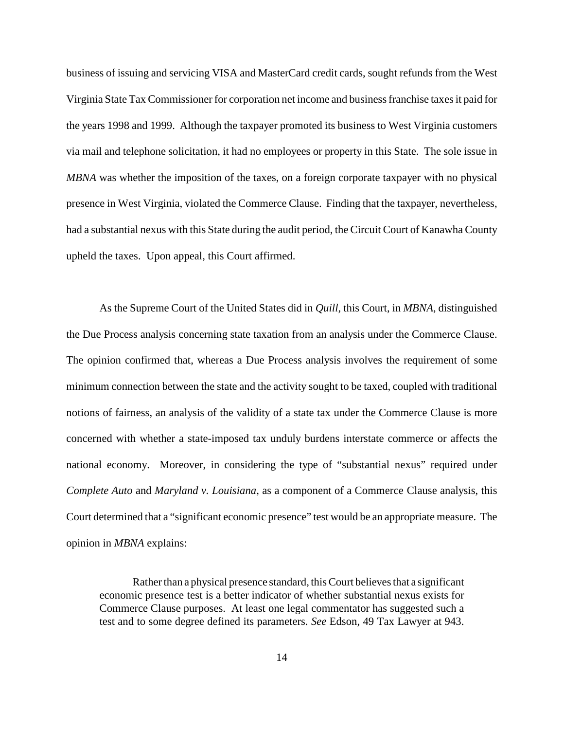business of issuing and servicing VISA and MasterCard credit cards, sought refunds from the West Virginia State Tax Commissioner for corporation net income and business franchise taxes it paid for the years 1998 and 1999. Although the taxpayer promoted its business to West Virginia customers via mail and telephone solicitation, it had no employees or property in this State. The sole issue in *MBNA* was whether the imposition of the taxes, on a foreign corporate taxpayer with no physical presence in West Virginia, violated the Commerce Clause. Finding that the taxpayer, nevertheless, had a substantial nexus with this State during the audit period, the Circuit Court of Kanawha County upheld the taxes. Upon appeal, this Court affirmed.

 As the Supreme Court of the United States did in *Quill*, this Court, in *MBNA*, distinguished the Due Process analysis concerning state taxation from an analysis under the Commerce Clause. The opinion confirmed that, whereas a Due Process analysis involves the requirement of some minimum connection between the state and the activity sought to be taxed, coupled with traditional notions of fairness, an analysis of the validity of a state tax under the Commerce Clause is more concerned with whether a state-imposed tax unduly burdens interstate commerce or affects the national economy. Moreover, in considering the type of "substantial nexus" required under *Complete Auto* and *Maryland v. Louisiana*, as a component of a Commerce Clause analysis, this Court determined that a "significant economic presence" test would be an appropriate measure. The opinion in *MBNA* explains:

 Rather than a physical presence standard, this Court believes that a significant economic presence test is a better indicator of whether substantial nexus exists for Commerce Clause purposes. At least one legal commentator has suggested such a test and to some degree defined its parameters. *See* Edson, 49 Tax Lawyer at 943.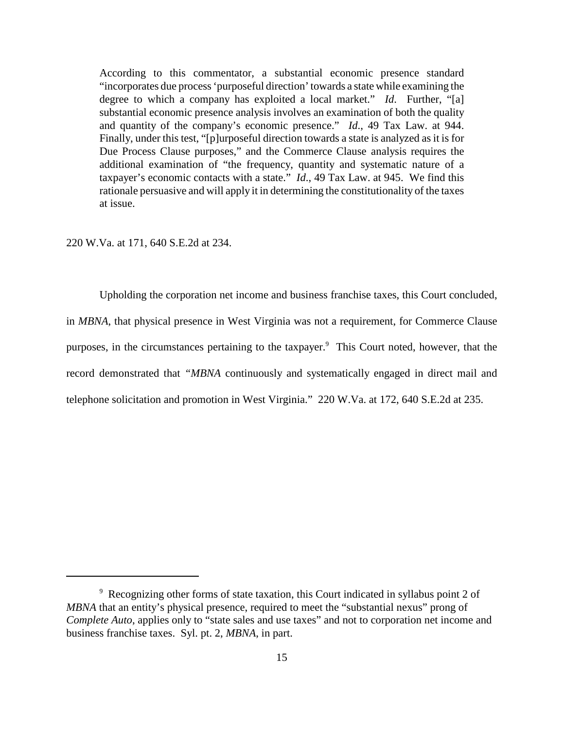According to this commentator, a substantial economic presence standard "incorporates due process 'purposeful direction' towards a state while examining the degree to which a company has exploited a local market." *Id*. Further, "[a] substantial economic presence analysis involves an examination of both the quality and quantity of the company's economic presence." *Id*., 49 Tax Law. at 944. Finally, under this test, "[p]urposeful direction towards a state is analyzed as it is for Due Process Clause purposes," and the Commerce Clause analysis requires the additional examination of "the frequency, quantity and systematic nature of a taxpayer's economic contacts with a state." *Id*., 49 Tax Law. at 945. We find this rationale persuasive and will apply it in determining the constitutionality of the taxes at issue.

220 W.Va. at 171, 640 S.E.2d at 234.

 Upholding the corporation net income and business franchise taxes, this Court concluded, in *MBNA*, that physical presence in West Virginia was not a requirement, for Commerce Clause purposes, in the circumstances pertaining to the taxpayer.<sup>9</sup> This Court noted, however, that the record demonstrated that *"MBNA* continuously and systematically engaged in direct mail and telephone solicitation and promotion in West Virginia." 220 W.Va. at 172, 640 S.E.2d at 235.

<sup>&</sup>lt;sup>9</sup> Recognizing other forms of state taxation, this Court indicated in syllabus point 2 of *MBNA* that an entity's physical presence, required to meet the "substantial nexus" prong of *Complete Auto*, applies only to "state sales and use taxes" and not to corporation net income and business franchise taxes. Syl. pt. 2, *MBNA*, in part.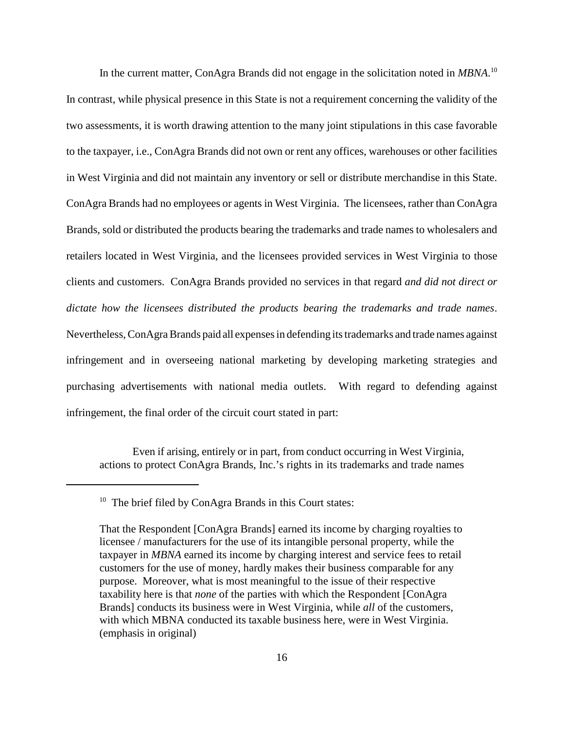In the current matter, ConAgra Brands did not engage in the solicitation noted in *MBNA*. 10 In contrast, while physical presence in this State is not a requirement concerning the validity of the two assessments, it is worth drawing attention to the many joint stipulations in this case favorable to the taxpayer, i.e., ConAgra Brands did not own or rent any offices, warehouses or other facilities in West Virginia and did not maintain any inventory or sell or distribute merchandise in this State. ConAgra Brands had no employees or agents in West Virginia. The licensees, rather than ConAgra Brands, sold or distributed the products bearing the trademarks and trade names to wholesalers and retailers located in West Virginia, and the licensees provided services in West Virginia to those clients and customers. ConAgra Brands provided no services in that regard *and did not direct or dictate how the licensees distributed the products bearing the trademarks and trade names*. Nevertheless, ConAgra Brands paid all expenses in defending its trademarks and trade names against infringement and in overseeing national marketing by developing marketing strategies and purchasing advertisements with national media outlets. With regard to defending against infringement, the final order of the circuit court stated in part:

 Even if arising, entirely or in part, from conduct occurring in West Virginia, actions to protect ConAgra Brands, Inc.'s rights in its trademarks and trade names

<sup>&</sup>lt;sup>10</sup> The brief filed by ConAgra Brands in this Court states:

 That the Respondent [ConAgra Brands] earned its income by charging royalties to licensee / manufacturers for the use of its intangible personal property, while the taxpayer in *MBNA* earned its income by charging interest and service fees to retail customers for the use of money, hardly makes their business comparable for any purpose. Moreover, what is most meaningful to the issue of their respective taxability here is that *none* of the parties with which the Respondent [ConAgra Brands] conducts its business were in West Virginia, while *all* of the customers, with which MBNA conducted its taxable business here, were in West Virginia. (emphasis in original)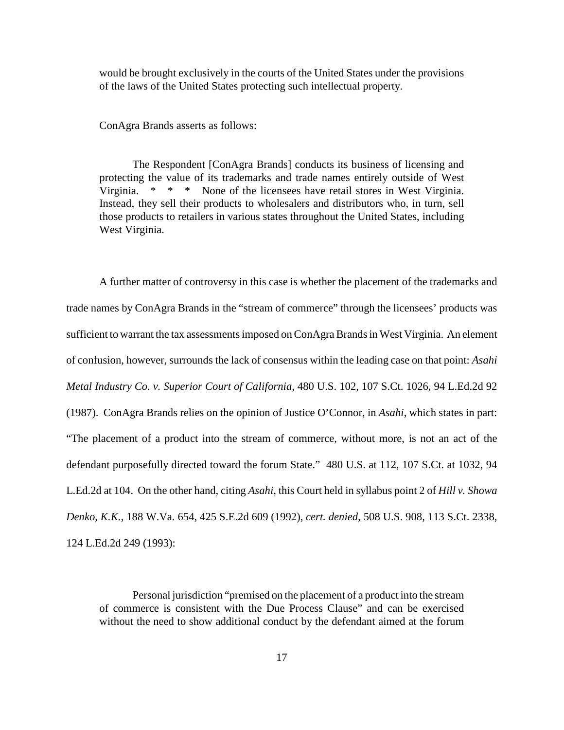would be brought exclusively in the courts of the United States under the provisions of the laws of the United States protecting such intellectual property.

ConAgra Brands asserts as follows:

 The Respondent [ConAgra Brands] conducts its business of licensing and protecting the value of its trademarks and trade names entirely outside of West Virginia. Instead, they sell their products to wholesalers and distributors who, in turn, sell those products to retailers in various states throughout the United States, including \* \* \* None of the licensees have retail stores in West Virginia. West Virginia.

 A further matter of controversy in this case is whether the placement of the trademarks and trade names by ConAgra Brands in the "stream of commerce" through the licensees' products was sufficient to warrant the tax assessments imposed on ConAgra Brands in West Virginia. An element of confusion, however, surrounds the lack of consensus within the leading case on that point: *Asahi Metal Industry Co. v. Superior Court of California*, 480 U.S. 102, 107 S.Ct. 1026, 94 L.Ed.2d 92 (1987). ConAgra Brands relies on the opinion of Justice O'Connor, in *Asahi*, which states in part: "The placement of a product into the stream of commerce, without more, is not an act of the defendant purposefully directed toward the forum State." 480 U.S. at 112, 107 S.Ct. at 1032, 94 L.Ed.2d at 104. On the other hand, citing *Asahi*, this Court held in syllabus point 2 of *Hill v. Showa Denko, K.K.*, 188 W.Va. 654, 425 S.E.2d 609 (1992), *cert. denied*, 508 U.S. 908, 113 S.Ct. 2338, 124 L.Ed.2d 249 (1993):

 Personal jurisdiction "premised on the placement of a product into the stream of commerce is consistent with the Due Process Clause" and can be exercised without the need to show additional conduct by the defendant aimed at the forum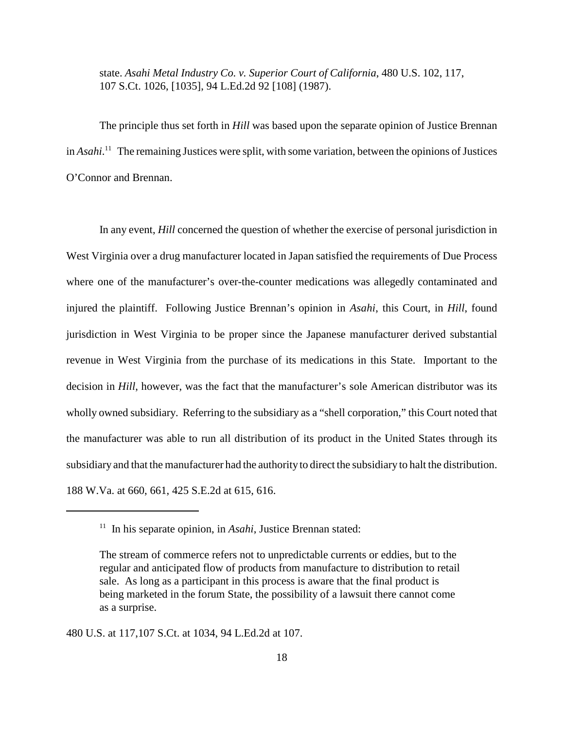state. *Asahi Metal Industry Co. v. Superior Court of California*, 480 U.S. 102, 117, 107 S.Ct. 1026, [1035], 94 L.Ed.2d 92 [108] (1987).

 The principle thus set forth in *Hill* was based upon the separate opinion of Justice Brennan in *Asahi*. 11 The remaining Justices were split, with some variation, between the opinions of Justices O'Connor and Brennan.

 In any event, *Hill* concerned the question of whether the exercise of personal jurisdiction in West Virginia over a drug manufacturer located in Japan satisfied the requirements of Due Process where one of the manufacturer's over-the-counter medications was allegedly contaminated and injured the plaintiff. Following Justice Brennan's opinion in *Asahi*, this Court, in *Hill*, found jurisdiction in West Virginia to be proper since the Japanese manufacturer derived substantial revenue in West Virginia from the purchase of its medications in this State. Important to the decision in *Hill*, however, was the fact that the manufacturer's sole American distributor was its wholly owned subsidiary. Referring to the subsidiary as a "shell corporation," this Court noted that the manufacturer was able to run all distribution of its product in the United States through its subsidiary and that the manufacturer had the authority to direct the subsidiary to halt the distribution. 188 W.Va. at 660, 661, 425 S.E.2d at 615, 616.

480 U.S. at 117,107 S.Ct. at 1034, 94 L.Ed.2d at 107.

<sup>&</sup>lt;sup>11</sup> In his separate opinion, in *Asahi*, Justice Brennan stated:

 The stream of commerce refers not to unpredictable currents or eddies, but to the regular and anticipated flow of products from manufacture to distribution to retail sale. As long as a participant in this process is aware that the final product is being marketed in the forum State, the possibility of a lawsuit there cannot come as a surprise.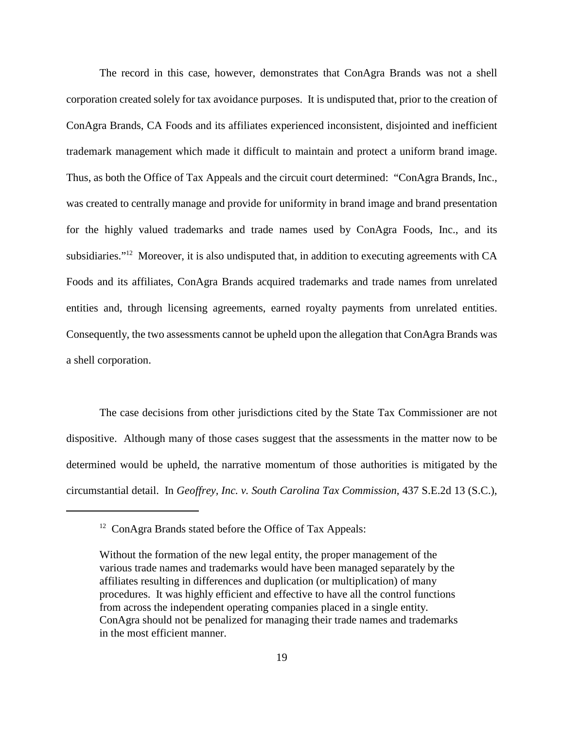The record in this case, however, demonstrates that ConAgra Brands was not a shell corporation created solely for tax avoidance purposes. It is undisputed that, prior to the creation of ConAgra Brands, CA Foods and its affiliates experienced inconsistent, disjointed and inefficient trademark management which made it difficult to maintain and protect a uniform brand image. Thus, as both the Office of Tax Appeals and the circuit court determined: "ConAgra Brands, Inc., was created to centrally manage and provide for uniformity in brand image and brand presentation for the highly valued trademarks and trade names used by ConAgra Foods, Inc., and its subsidiaries."<sup>12</sup> Moreover, it is also undisputed that, in addition to executing agreements with CA Foods and its affiliates, ConAgra Brands acquired trademarks and trade names from unrelated entities and, through licensing agreements, earned royalty payments from unrelated entities. Consequently, the two assessments cannot be upheld upon the allegation that ConAgra Brands was a shell corporation.

 The case decisions from other jurisdictions cited by the State Tax Commissioner are not dispositive. Although many of those cases suggest that the assessments in the matter now to be determined would be upheld, the narrative momentum of those authorities is mitigated by the circumstantial detail. In *Geoffrey, Inc. v. South Carolina Tax Commission*, 437 S.E.2d 13 (S.C.),

<sup>&</sup>lt;sup>12</sup> ConAgra Brands stated before the Office of Tax Appeals:

 Without the formation of the new legal entity, the proper management of the various trade names and trademarks would have been managed separately by the affiliates resulting in differences and duplication (or multiplication) of many procedures. It was highly efficient and effective to have all the control functions from across the independent operating companies placed in a single entity. ConAgra should not be penalized for managing their trade names and trademarks in the most efficient manner.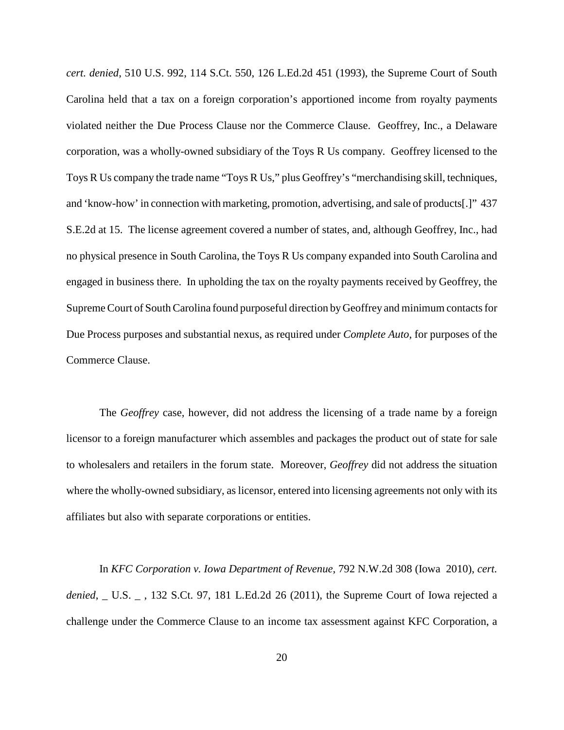*cert. denied*, 510 U.S. 992, 114 S.Ct. 550, 126 L.Ed.2d 451 (1993), the Supreme Court of South Carolina held that a tax on a foreign corporation's apportioned income from royalty payments violated neither the Due Process Clause nor the Commerce Clause. Geoffrey, Inc., a Delaware corporation, was a wholly-owned subsidiary of the Toys R Us company. Geoffrey licensed to the Toys R Us company the trade name "Toys R Us," plus Geoffrey's "merchandising skill, techniques, and 'know-how' in connection with marketing, promotion, advertising, and sale of products[.]" 437 S.E.2d at 15. The license agreement covered a number of states, and, although Geoffrey, Inc., had no physical presence in South Carolina, the Toys R Us company expanded into South Carolina and engaged in business there. In upholding the tax on the royalty payments received by Geoffrey, the Supreme Court of South Carolina found purposeful direction by Geoffrey and minimum contacts for Due Process purposes and substantial nexus, as required under *Complete Auto*, for purposes of the Commerce Clause.

 The *Geoffrey* case, however, did not address the licensing of a trade name by a foreign licensor to a foreign manufacturer which assembles and packages the product out of state for sale to wholesalers and retailers in the forum state. Moreover, *Geoffrey* did not address the situation where the wholly-owned subsidiary, as licensor, entered into licensing agreements not only with its affiliates but also with separate corporations or entities.

 In *KFC Corporation v. Iowa Department of Revenue*, 792 N.W.2d 308 (Iowa 2010), *cert. denied*, \_ U.S. \_ , 132 S.Ct. 97, 181 L.Ed.2d 26 (2011), the Supreme Court of Iowa rejected a challenge under the Commerce Clause to an income tax assessment against KFC Corporation, a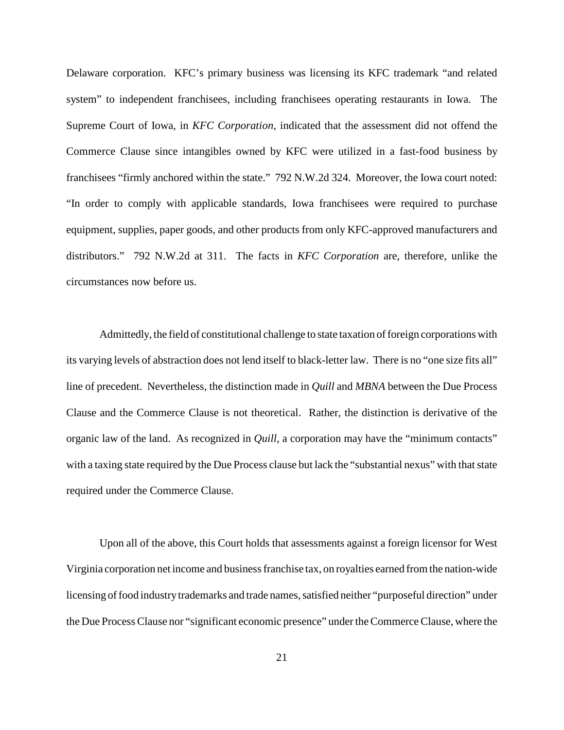Delaware corporation. KFC's primary business was licensing its KFC trademark "and related system" to independent franchisees, including franchisees operating restaurants in Iowa. The Supreme Court of Iowa, in *KFC Corporation*, indicated that the assessment did not offend the Commerce Clause since intangibles owned by KFC were utilized in a fast-food business by franchisees "firmly anchored within the state." 792 N.W.2d 324. Moreover, the Iowa court noted: "In order to comply with applicable standards, Iowa franchisees were required to purchase equipment, supplies, paper goods, and other products from only KFC-approved manufacturers and distributors." 792 N.W.2d at 311. The facts in *KFC Corporation* are, therefore, unlike the circumstances now before us.

 Admittedly, the field of constitutional challenge to state taxation of foreign corporations with its varying levels of abstraction does not lend itself to black-letter law. There is no "one size fits all" line of precedent. Nevertheless, the distinction made in *Quill* and *MBNA* between the Due Process Clause and the Commerce Clause is not theoretical. Rather, the distinction is derivative of the organic law of the land. As recognized in *Quill*, a corporation may have the "minimum contacts" with a taxing state required by the Due Process clause but lack the "substantial nexus" with that state required under the Commerce Clause.

 Upon all of the above, this Court holds that assessments against a foreign licensor for West Virginia corporation net income and business franchise tax, on royalties earned from the nation-wide licensing of food industry trademarks and trade names, satisfied neither "purposeful direction" under the Due Process Clause nor "significant economic presence" under the Commerce Clause, where the